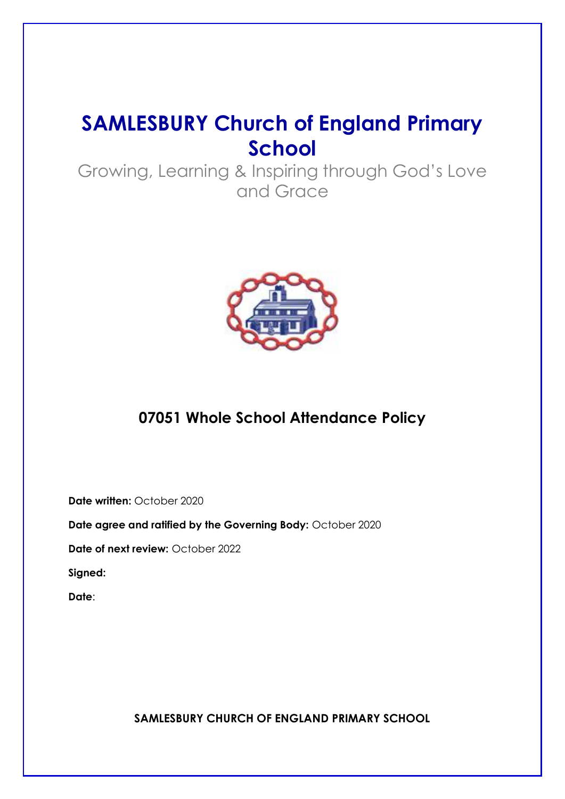# **SAMLESBURY Church of England Primary School**

Growing, Learning & Inspiring through God's Love and Grace



# **07051 Whole School Attendance Policy**

**Date written:** October 2020

**Date agree and ratified by the Governing Body:** October 2020

**Date of next review:** October 2022

**Signed:** 

**Date**:

**SAMLESBURY CHURCH OF ENGLAND PRIMARY SCHOOL**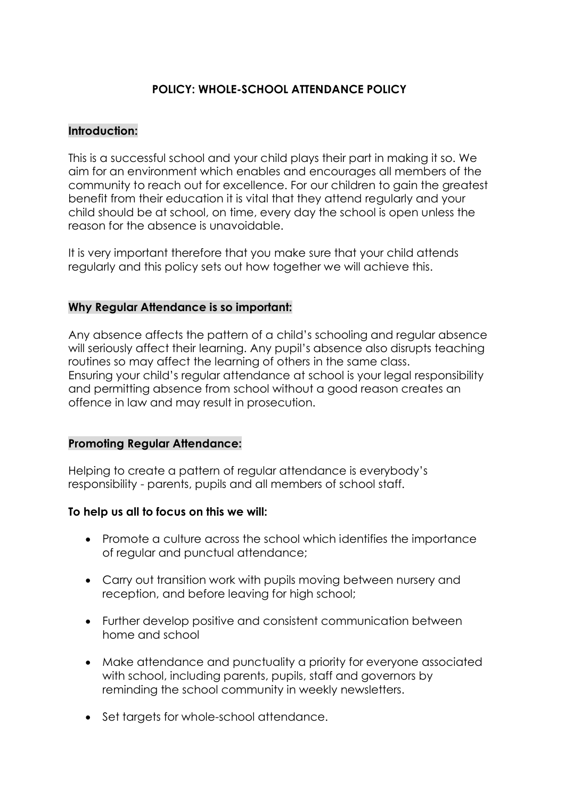# **POLICY: WHOLE-SCHOOL ATTENDANCE POLICY**

#### **Introduction:**

This is a successful school and your child plays their part in making it so. We aim for an environment which enables and encourages all members of the community to reach out for excellence. For our children to gain the greatest benefit from their education it is vital that they attend regularly and your child should be at school, on time, every day the school is open unless the reason for the absence is unavoidable.

It is very important therefore that you make sure that your child attends regularly and this policy sets out how together we will achieve this.

#### **Why Regular Attendance is so important:**

Any absence affects the pattern of a child's schooling and regular absence will seriously affect their learning. Any pupil's absence also disrupts teaching routines so may affect the learning of others in the same class. Ensuring your child's regular attendance at school is your legal responsibility and permitting absence from school without a good reason creates an offence in law and may result in prosecution.

#### **Promoting Regular Attendance:**

Helping to create a pattern of regular attendance is everybody's responsibility - parents, pupils and all members of school staff.

#### **To help us all to focus on this we will:**

- Promote a culture across the school which identifies the importance of regular and punctual attendance;
- Carry out transition work with pupils moving between nursery and reception, and before leaving for high school;
- Further develop positive and consistent communication between home and school
- Make attendance and punctuality a priority for everyone associated with school, including parents, pupils, staff and governors by reminding the school community in weekly newsletters.
- Set targets for whole-school attendance.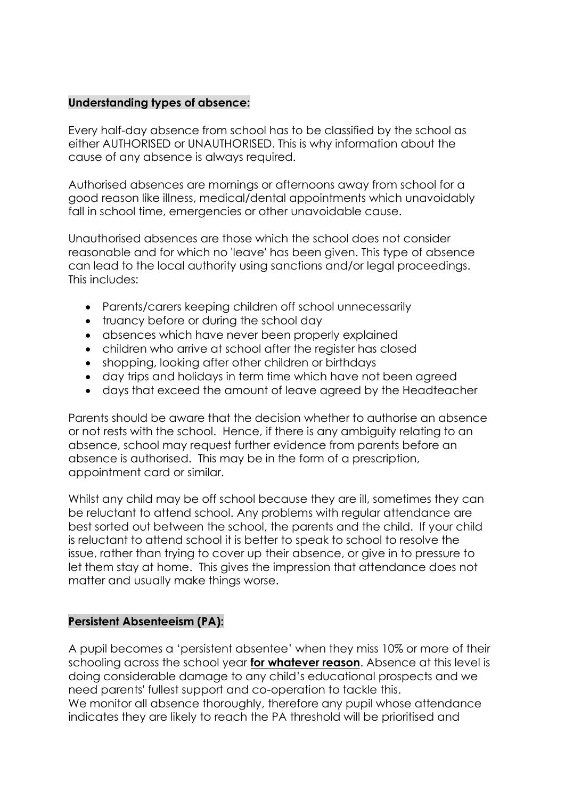#### **Understanding types of absence:**

Every half-day absence from school has to be classified by the school as either AUTHORISED or UNAUTHORISED. This is why information about the cause of any absence is always required.

Authorised absences are mornings or afternoons away from school for a good reason like illness, medical/dental appointments which unavoidably fall in school time, emergencies or other unavoidable cause.

Unauthorised absences are those which the school does not consider reasonable and for which no 'leave' has been given. This type of absence can lead to the local authority using sanctions and/or legal proceedings. This includes:

- Parents/carers keeping children off school unnecessarily
- truancy before or during the school day
- absences which have never been properly explained
- children who arrive at school after the register has closed
- shopping, looking after other children or birthdays
- day trips and holidays in term time which have not been agreed
- days that exceed the amount of leave agreed by the Headteacher

Parents should be aware that the decision whether to authorise an absence or not rests with the school. Hence, if there is any ambiguity relating to an absence, school may request further evidence from parents before an absence is authorised. This may be in the form of a prescription, appointment card or similar.

Whilst any child may be off school because they are ill, sometimes they can be reluctant to attend school. Any problems with regular attendance are best sorted out between the school, the parents and the child. If your child is reluctant to attend school it is better to speak to school to resolve the issue, rather than trying to cover up their absence, or give in to pressure to let them stay at home. This gives the impression that attendance does not matter and usually make things worse.

#### **Persistent Absenteeism (PA):**

A pupil becomes a 'persistent absentee' when they miss 10% or more of their schooling across the school year **for whatever reason**. Absence at this level is doing considerable damage to any child's educational prospects and we need parents' fullest support and co-operation to tackle this.

We monitor all absence thoroughly, therefore any pupil whose attendance indicates they are likely to reach the PA threshold will be prioritised and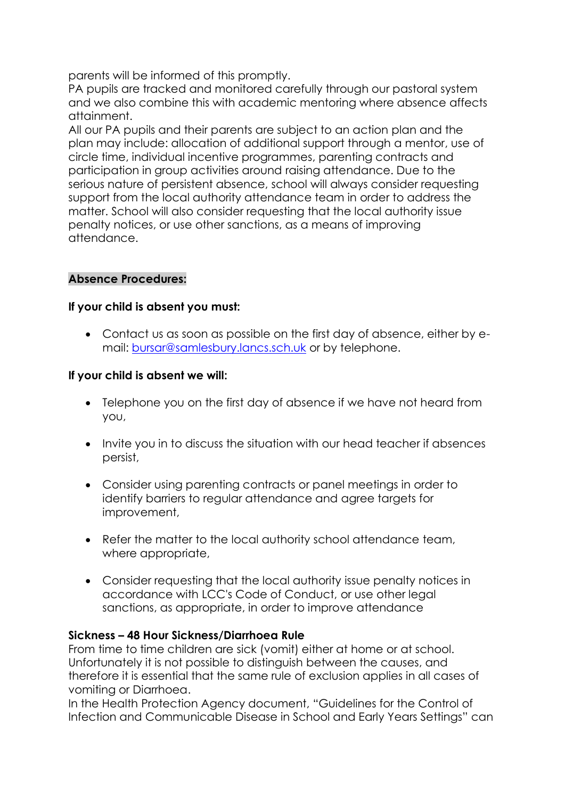parents will be informed of this promptly.

PA pupils are tracked and monitored carefully through our pastoral system and we also combine this with academic mentoring where absence affects attainment.

All our PA pupils and their parents are subject to an action plan and the plan may include: allocation of additional support through a mentor, use of circle time, individual incentive programmes, parenting contracts and participation in group activities around raising attendance. Due to the serious nature of persistent absence, school will always consider requesting support from the local authority attendance team in order to address the matter. School will also consider requesting that the local authority issue penalty notices, or use other sanctions, as a means of improving attendance.

#### **Absence Procedures:**

#### **If your child is absent you must:**

• Contact us as soon as possible on the first day of absence, either by email: [bursar@samlesbury.lancs.sch.uk](mailto:bursar@samlesbury.lancs.sch.uk) or by telephone.

#### **If your child is absent we will:**

- Telephone you on the first day of absence if we have not heard from you,
- Invite you in to discuss the situation with our head teacher if absences persist,
- Consider using parenting contracts or panel meetings in order to identify barriers to regular attendance and agree targets for improvement,
- Refer the matter to the local authority school attendance team, where appropriate,
- Consider requesting that the local authority issue penalty notices in accordance with LCC's Code of Conduct, or use other legal sanctions, as appropriate, in order to improve attendance

#### **Sickness – 48 Hour Sickness/Diarrhoea Rule**

From time to time children are sick (vomit) either at home or at school. Unfortunately it is not possible to distinguish between the causes, and therefore it is essential that the same rule of exclusion applies in all cases of vomiting or Diarrhoea.

In the Health Protection Agency document, "Guidelines for the Control of Infection and Communicable Disease in School and Early Years Settings" can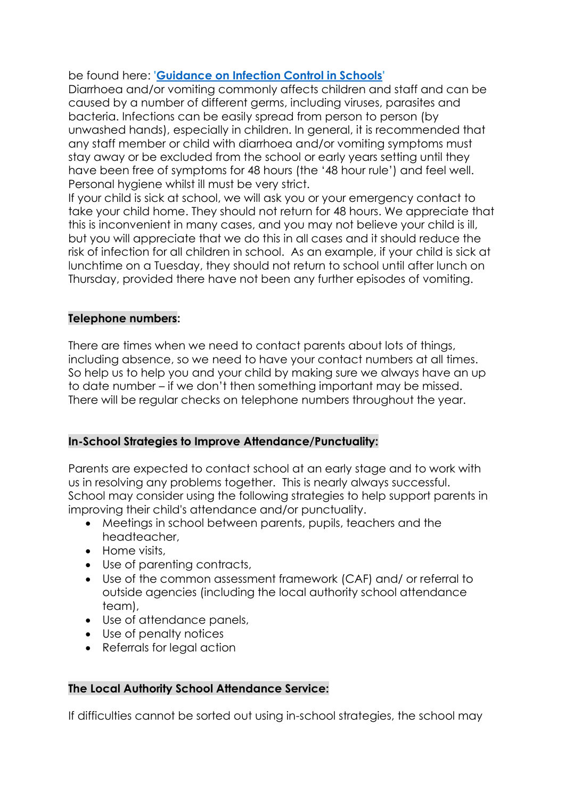be found here: **['Guidance on Infection Control in Schools'](https://www.publichealth.hscni.net/sites/default/files/Guidance_on_infection_control_in%20schools_poster.pdf)**

Diarrhoea and/or vomiting commonly affects children and staff and can be caused by a number of different germs, including viruses, parasites and bacteria. Infections can be easily spread from person to person (by unwashed hands), especially in children. In general, it is recommended that any staff member or child with diarrhoea and/or vomiting symptoms must stay away or be excluded from the school or early years setting until they have been free of symptoms for 48 hours (the '48 hour rule') and feel well. Personal hygiene whilst ill must be very strict.

If your child is sick at school, we will ask you or your emergency contact to take your child home. They should not return for 48 hours. We appreciate that this is inconvenient in many cases, and you may not believe your child is ill, but you will appreciate that we do this in all cases and it should reduce the risk of infection for all children in school. As an example, if your child is sick at lunchtime on a Tuesday, they should not return to school until after lunch on Thursday, provided there have not been any further episodes of vomiting.

#### **Telephone numbers:**

There are times when we need to contact parents about lots of things, including absence, so we need to have your contact numbers at all times. So help us to help you and your child by making sure we always have an up to date number – if we don't then something important may be missed. There will be regular checks on telephone numbers throughout the year.

#### **In-School Strategies to Improve Attendance/Punctuality:**

Parents are expected to contact school at an early stage and to work with us in resolving any problems together. This is nearly always successful. School may consider using the following strategies to help support parents in improving their child's attendance and/or punctuality.

- Meetings in school between parents, pupils, teachers and the headteacher,
- Home visits,
- Use of parenting contracts,
- Use of the common assessment framework (CAF) and/ or referral to outside agencies (including the local authority school attendance team),
- Use of attendance panels,
- Use of penalty notices
- Referrals for legal action

#### **The Local Authority School Attendance Service:**

If difficulties cannot be sorted out using in-school strategies, the school may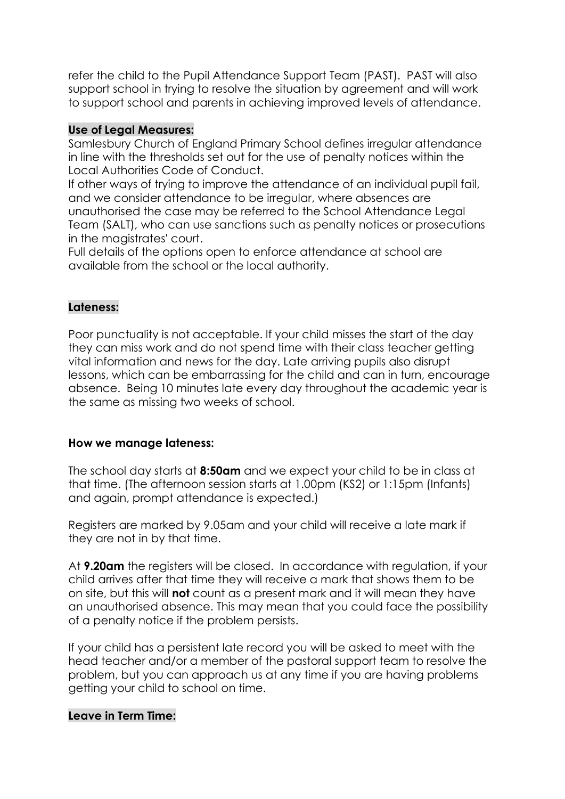refer the child to the Pupil Attendance Support Team (PAST). PAST will also support school in trying to resolve the situation by agreement and will work to support school and parents in achieving improved levels of attendance.

#### **Use of Legal Measures:**

Samlesbury Church of England Primary School defines irregular attendance in line with the thresholds set out for the use of penalty notices within the Local Authorities Code of Conduct.

If other ways of trying to improve the attendance of an individual pupil fail, and we consider attendance to be irregular, where absences are unauthorised the case may be referred to the School Attendance Leaal Team (SALT), who can use sanctions such as penalty notices or prosecutions in the magistrates' court.

Full details of the options open to enforce attendance at school are available from the school or the local authority.

#### **Lateness:**

Poor punctuality is not acceptable. If your child misses the start of the day they can miss work and do not spend time with their class teacher getting vital information and news for the day. Late arriving pupils also disrupt lessons, which can be embarrassing for the child and can in turn, encourage absence. Being 10 minutes late every day throughout the academic year is the same as missing two weeks of school.

#### **How we manage lateness:**

The school day starts at **8:50am** and we expect your child to be in class at that time. (The afternoon session starts at 1.00pm (KS2) or 1:15pm (Infants) and again, prompt attendance is expected.)

Registers are marked by 9.05am and your child will receive a late mark if they are not in by that time.

At **9.20am** the registers will be closed. In accordance with regulation, if your child arrives after that time they will receive a mark that shows them to be on site, but this will **not** count as a present mark and it will mean they have an unauthorised absence. This may mean that you could face the possibility of a penalty notice if the problem persists.

If your child has a persistent late record you will be asked to meet with the head teacher and/or a member of the pastoral support team to resolve the problem, but you can approach us at any time if you are having problems getting your child to school on time.

#### **Leave in Term Time:**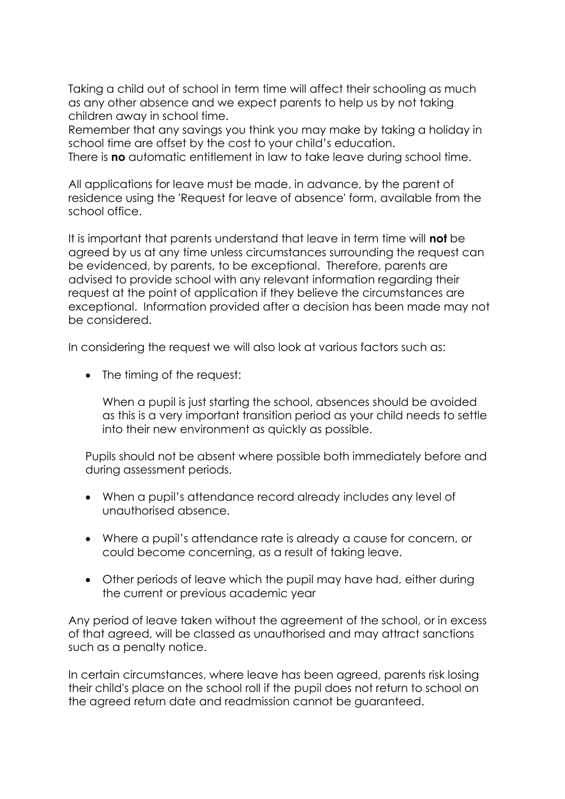Taking a child out of school in term time will affect their schooling as much as any other absence and we expect parents to help us by not taking children away in school time.

Remember that any savings you think you may make by taking a holiday in school time are offset by the cost to your child's education. There is **no** automatic entitlement in law to take leave during school time.

All applications for leave must be made, in advance, by the parent of residence using the 'Request for leave of absence' form, available from the school office.

It is important that parents understand that leave in term time will **not** be agreed by us at any time unless circumstances surrounding the request can be evidenced, by parents, to be exceptional. Therefore, parents are advised to provide school with any relevant information regarding their request at the point of application if they believe the circumstances are exceptional. Information provided after a decision has been made may not be considered.

In considering the request we will also look at various factors such as:

• The timing of the request:

When a pupil is just starting the school, absences should be avoided as this is a very important transition period as your child needs to settle into their new environment as quickly as possible.

Pupils should not be absent where possible both immediately before and during assessment periods.

- When a pupil's attendance record already includes any level of unauthorised absence.
- Where a pupil's attendance rate is already a cause for concern, or could become concerning, as a result of taking leave.
- Other periods of leave which the pupil may have had, either during the current or previous academic year

Any period of leave taken without the agreement of the school, or in excess of that agreed, will be classed as unauthorised and may attract sanctions such as a penalty notice.

In certain circumstances, where leave has been agreed, parents risk losing their child's place on the school roll if the pupil does not return to school on the agreed return date and readmission cannot be guaranteed.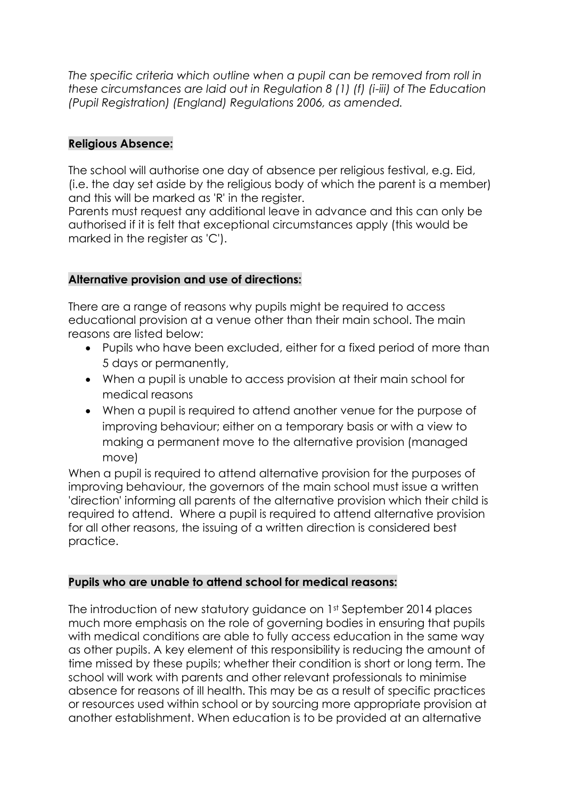*The specific criteria which outline when a pupil can be removed from roll in these circumstances are laid out in Regulation 8 (1) (f) (i-iii) of The Education (Pupil Registration) (England) Regulations 2006, as amended.*

#### **Religious Absence:**

The school will authorise one day of absence per religious festival, e.g. Eid, (i.e. the day set aside by the religious body of which the parent is a member) and this will be marked as 'R' in the register.

Parents must request any additional leave in advance and this can only be authorised if it is felt that exceptional circumstances apply (this would be marked in the register as 'C').

#### **Alternative provision and use of directions:**

There are a range of reasons why pupils might be required to access educational provision at a venue other than their main school. The main reasons are listed below:

- Pupils who have been excluded, either for a fixed period of more than 5 days or permanently,
- When a pupil is unable to access provision at their main school for medical reasons
- When a pupil is required to attend another venue for the purpose of improving behaviour; either on a temporary basis or with a view to making a permanent move to the alternative provision (managed move)

When a pupil is required to attend alternative provision for the purposes of improving behaviour, the governors of the main school must issue a written 'direction' informing all parents of the alternative provision which their child is required to attend. Where a pupil is required to attend alternative provision for all other reasons, the issuing of a written direction is considered best practice.

#### **Pupils who are unable to attend school for medical reasons:**

The introduction of new statutory guidance on 1st September 2014 places much more emphasis on the role of governing bodies in ensuring that pupils with medical conditions are able to fully access education in the same way as other pupils. A key element of this responsibility is reducing the amount of time missed by these pupils; whether their condition is short or long term. The school will work with parents and other relevant professionals to minimise absence for reasons of ill health. This may be as a result of specific practices or resources used within school or by sourcing more appropriate provision at another establishment. When education is to be provided at an alternative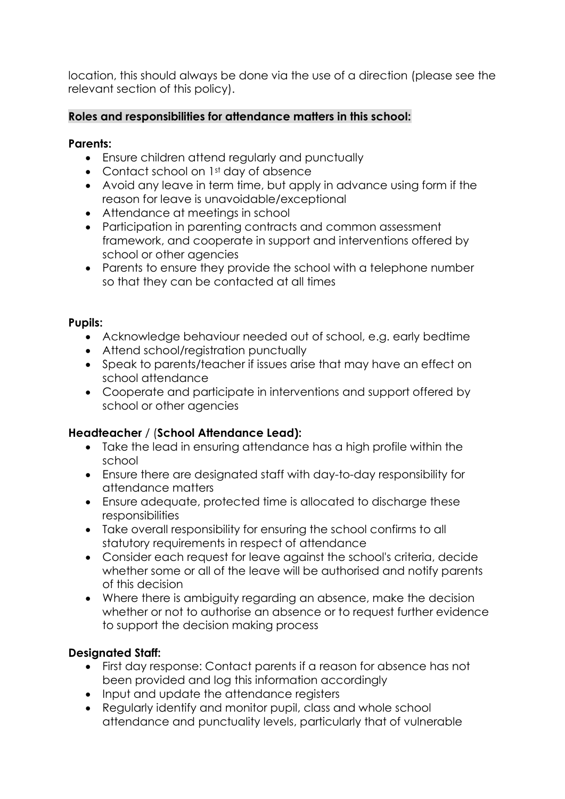location, this should always be done via the use of a direction (please see the relevant section of this policy).

### **Roles and responsibilities for attendance matters in this school:**

#### **Parents:**

- Ensure children attend regularly and punctually
- Contact school on 1st day of absence
- Avoid any leave in term time, but apply in advance using form if the reason for leave is unavoidable/exceptional
- Attendance at meetings in school
- Participation in parenting contracts and common assessment framework, and cooperate in support and interventions offered by school or other agencies
- Parents to ensure they provide the school with a telephone number so that they can be contacted at all times

#### **Pupils:**

- Acknowledge behaviour needed out of school, e.g. early bedtime
- Attend school/reaistration punctually
- Speak to parents/teacher if issues arise that may have an effect on school attendance
- Cooperate and participate in interventions and support offered by school or other agencies

# **Headteacher** / (**School Attendance Lead):**

- Take the lead in ensuring attendance has a high profile within the school
- Ensure there are designated staff with day-to-day responsibility for attendance matters
- Ensure adequate, protected time is allocated to discharge these responsibilities
- Take overall responsibility for ensuring the school confirms to all statutory requirements in respect of attendance
- Consider each request for leave against the school's criteria, decide whether some or all of the leave will be authorised and notify parents of this decision
- Where there is ambiguity regarding an absence, make the decision whether or not to authorise an absence or to request further evidence to support the decision making process

# **Designated Staff:**

- First day response: Contact parents if a reason for absence has not been provided and log this information accordingly
- Input and update the attendance reaisters
- Regularly identify and monitor pupil, class and whole school attendance and punctuality levels, particularly that of vulnerable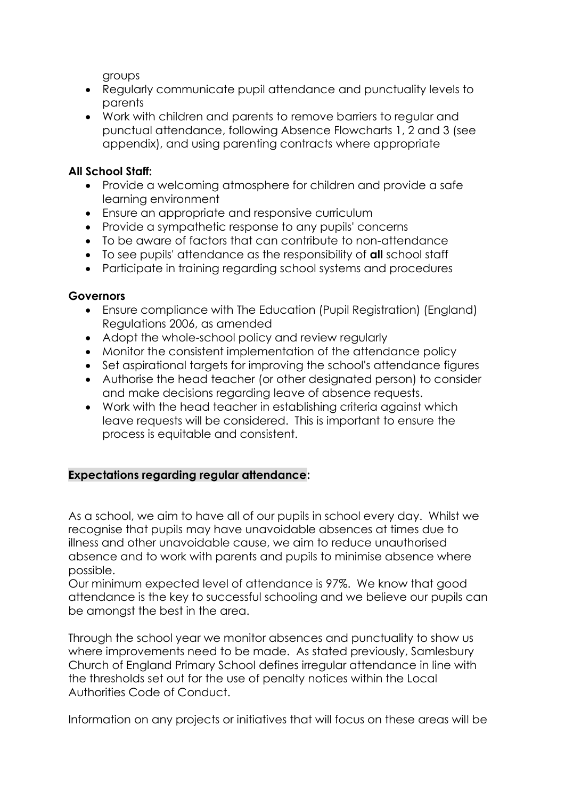groups

- Regularly communicate pupil attendance and punctuality levels to parents
- Work with children and parents to remove barriers to regular and punctual attendance, following Absence Flowcharts 1, 2 and 3 (see appendix), and using parenting contracts where appropriate

#### **All School Staff:**

- Provide a welcoming atmosphere for children and provide a safe learning environment
- Ensure an appropriate and responsive curriculum
- Provide a sympathetic response to any pupils' concerns
- To be aware of factors that can contribute to non-attendance
- To see pupils' attendance as the responsibility of **all** school staff
- Participate in training regarding school systems and procedures

#### **Governors**

- Ensure compliance with The Education (Pupil Registration) (England) Regulations 2006, as amended
- Adopt the whole-school policy and review regularly
- Monitor the consistent implementation of the attendance policy
- Set aspirational targets for improving the school's attendance figures
- Authorise the head teacher (or other designated person) to consider and make decisions regarding leave of absence requests.
- Work with the head teacher in establishing criteria against which leave requests will be considered. This is important to ensure the process is equitable and consistent.

# **Expectations regarding regular attendance:**

As a school, we aim to have all of our pupils in school every day. Whilst we recognise that pupils may have unavoidable absences at times due to illness and other unavoidable cause, we aim to reduce unauthorised absence and to work with parents and pupils to minimise absence where possible.

Our minimum expected level of attendance is 97%. We know that good attendance is the key to successful schooling and we believe our pupils can be amongst the best in the area.

Through the school year we monitor absences and punctuality to show us where improvements need to be made. As stated previously, Samlesbury Church of England Primary School defines irregular attendance in line with the thresholds set out for the use of penalty notices within the Local Authorities Code of Conduct.

Information on any projects or initiatives that will focus on these areas will be